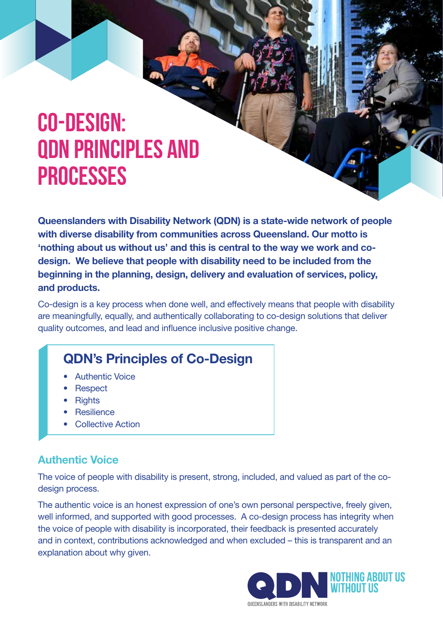# **Co-design: QDN principles and processes**

**Queenslanders with Disability Network (QDN) is a state-wide network of people with diverse disability from communities across Queensland. Our motto is 'nothing about us without us' and this is central to the way we work and codesign. We believe that people with disability need to be included from the beginning in the planning, design, delivery and evaluation of services, policy, and products.** 

Co-design is a key process when done well, and effectively means that people with disability are meaningfully, equally, and authentically collaborating to co-design solutions that deliver quality outcomes, and lead and influence inclusive positive change.

# **QDN's Principles of Co-Design**

- **Authentic Voice**
- Respect
- Rights
- Resilience
- Collective Action

#### **Authentic Voice**

The voice of people with disability is present, strong, included, and valued as part of the codesign process.

The authentic voice is an honest expression of one's own personal perspective, freely given, well informed, and supported with good processes. A co-design process has integrity when the voice of people with disability is incorporated, their feedback is presented accurately and in context, contributions acknowledged and when excluded – this is transparent and an explanation about why given.

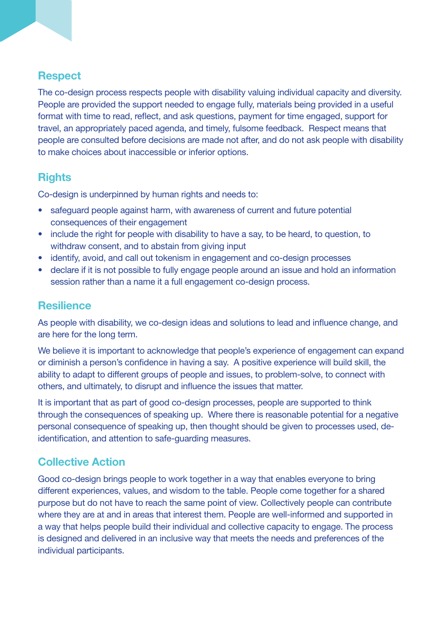#### **Respect**

The co-design process respects people with disability valuing individual capacity and diversity. People are provided the support needed to engage fully, materials being provided in a useful format with time to read, reflect, and ask questions, payment for time engaged, support for travel, an appropriately paced agenda, and timely, fulsome feedback. Respect means that people are consulted before decisions are made not after, and do not ask people with disability to make choices about inaccessible or inferior options.

### **Rights**

Co-design is underpinned by human rights and needs to:

- safeguard people against harm, with awareness of current and future potential consequences of their engagement
- include the right for people with disability to have a say, to be heard, to question, to withdraw consent, and to abstain from giving input
- identify, avoid, and call out tokenism in engagement and co-design processes
- declare if it is not possible to fully engage people around an issue and hold an information session rather than a name it a full engagement co-design process.

#### **Resilience**

As people with disability, we co-design ideas and solutions to lead and influence change, and are here for the long term.

We believe it is important to acknowledge that people's experience of engagement can expand or diminish a person's confidence in having a say. A positive experience will build skill, the ability to adapt to different groups of people and issues, to problem-solve, to connect with others, and ultimately, to disrupt and influence the issues that matter.

It is important that as part of good co-design processes, people are supported to think through the consequences of speaking up. Where there is reasonable potential for a negative personal consequence of speaking up, then thought should be given to processes used, deidentification, and attention to safe-guarding measures.

### **Collective Action**

Good co-design brings people to work together in a way that enables everyone to bring different experiences, values, and wisdom to the table. People come together for a shared purpose but do not have to reach the same point of view. Collectively people can contribute where they are at and in areas that interest them. People are well-informed and supported in a way that helps people build their individual and collective capacity to engage. The process is designed and delivered in an inclusive way that meets the needs and preferences of the individual participants.